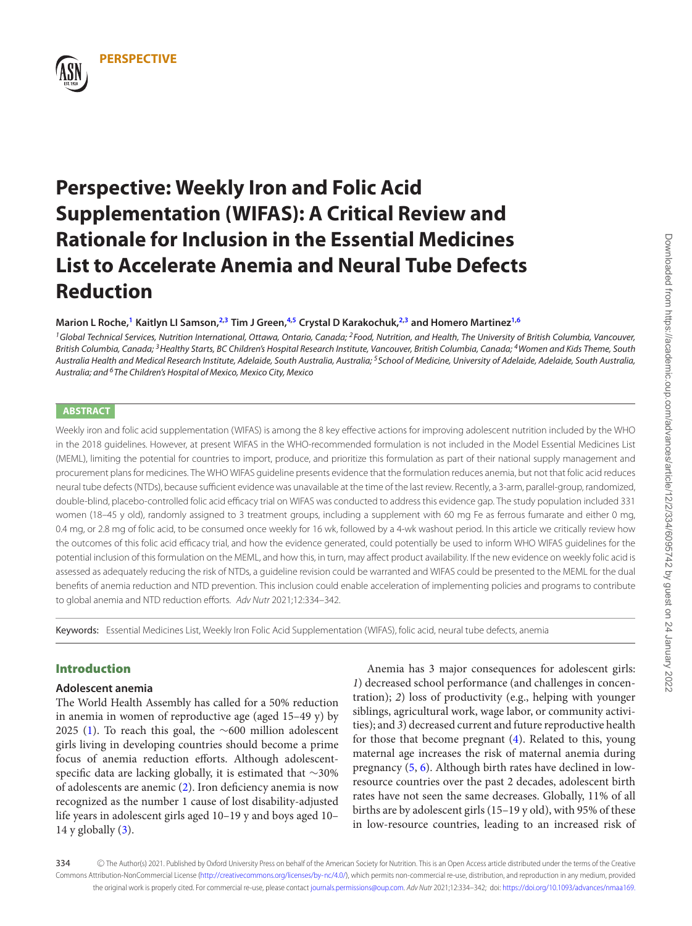

### **Marion L Roche,[1](#page-0-0) Kaitlyn LI Samson[,2](#page-0-1)[,3](#page-0-2) Tim J Green[,4](#page-0-3)[,5](#page-0-4) Crystal D Karakochuk[,2,](#page-0-1)[3](#page-0-2) and Homero Martinez[1,](#page-0-0)[6](#page-0-5)**

<span id="page-0-2"></span><span id="page-0-1"></span><span id="page-0-0"></span><sup>1</sup>Global Technical Services, Nutrition International, Ottawa, Ontario, Canada; <sup>2</sup>Food, Nutrition, and Health, The University of British Columbia, Vancouver, British Columbia, Canada; <sup>3</sup>Healthy Starts, BC Children's Hospital Research Institute, Vancouver, British Columbia, Canada; <sup>4</sup>Women and Kids Theme, South Australia Health and Medical Research Institute, Adelaide, South Australia, Australia; <sup>5</sup>School of Medicine, University of Adelaide, Adelaide, South Australia, Australia; and <sup>6</sup>The Children's Hospital of Mexico, Mexico City, Mexico

## <span id="page-0-5"></span>**ABSTRACT**

**PERSPECTIVE**

Weekly iron and folic acid supplementation (WIFAS) is among the 8 key effective actions for improving adolescent nutrition included by the WHO in the 2018 guidelines. However, at present WIFAS in the WHO-recommended formulation is not included in the Model Essential Medicines List (MEML), limiting the potential for countries to import, produce, and prioritize this formulation as part of their national supply management and procurement plans for medicines. The WHO WIFAS guideline presents evidence that the formulation reduces anemia, but not that folic acid reduces neural tube defects (NTDs), because sufficient evidence was unavailable at the time of the last review. Recently, a 3-arm, parallel-group, randomized, double-blind, placebo-controlled folic acid efficacy trial on WIFAS was conducted to address this evidence gap. The study population included 331 women (18–45 y old), randomly assigned to 3 treatment groups, including a supplement with 60 mg Fe as ferrous fumarate and either 0 mg, 0.4 mg, or 2.8 mg of folic acid, to be consumed once weekly for 16 wk, followed by a 4-wk washout period. In this article we critically review how the outcomes of this folic acid efficacy trial, and how the evidence generated, could potentially be used to inform WHO WIFAS guidelines for the potential inclusion of this formulation on the MEML, and how this, in turn, may affect product availability. If the new evidence on weekly folic acid is assessed as adequately reducing the risk of NTDs, a guideline revision could be warranted and WIFAS could be presented to the MEML for the dual benefits of anemia reduction and NTD prevention. This inclusion could enable acceleration of implementing policies and programs to contribute to global anemia and NTD reduction efforts. Adv Nutr 2021;12:334–342.

Keywords: Essential Medicines List, Weekly Iron Folic Acid Supplementation (WIFAS), folic acid, neural tube defects, anemia

# **Introduction**

#### **Adolescent anemia**

The World Health Assembly has called for a 50% reduction in anemia in women of reproductive age (aged 15–49 y) by 2025 [\(1\)](#page-6-0). To reach this goal, the ∼600 million adolescent girls living in developing countries should become a prime focus of anemia reduction efforts. Although adolescentspecific data are lacking globally, it is estimated that ∼30% of adolescents are anemic [\(2\)](#page-6-1). Iron deficiency anemia is now recognized as the number 1 cause of lost disability-adjusted life years in adolescent girls aged 10–19 y and boys aged 10– 14 y globally  $(3)$ .

<span id="page-0-4"></span><span id="page-0-3"></span>Anemia has 3 major consequences for adolescent girls: *1*) decreased school performance (and challenges in concentration); *2*) loss of productivity (e.g., helping with younger siblings, agricultural work, wage labor, or community activities); and *3*) decreased current and future reproductive health for those that become pregnant [\(4\)](#page-6-3). Related to this, young maternal age increases the risk of maternal anemia during pregnancy [\(5,](#page-6-4) [6\)](#page-6-5). Although birth rates have declined in lowresource countries over the past 2 decades, adolescent birth rates have not seen the same decreases. Globally, 11% of all births are by adolescent girls (15–19 y old), with 95% of these in low-resource countries, leading to an increased risk of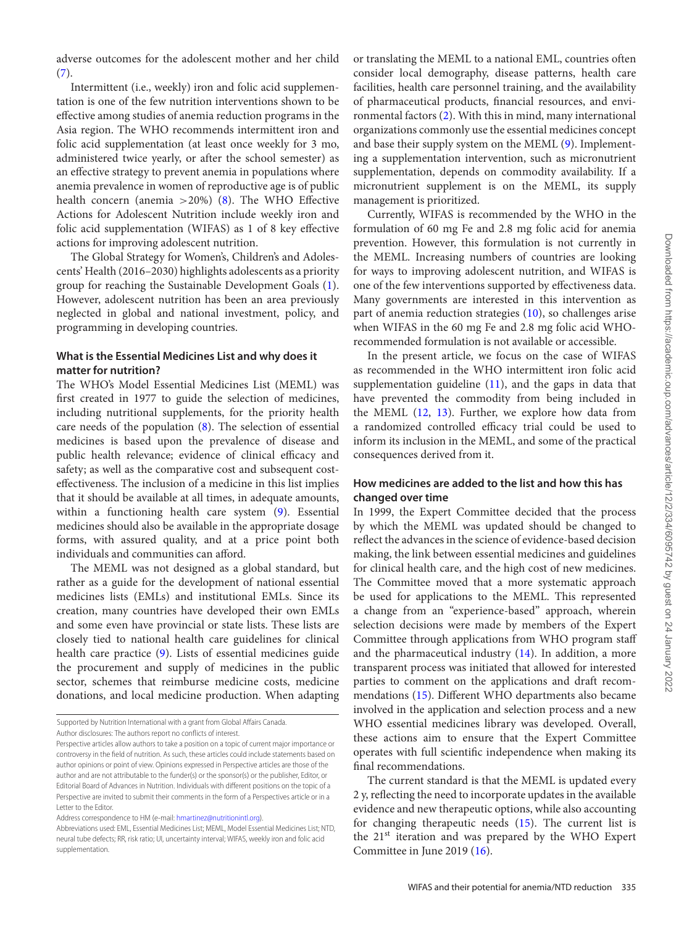adverse outcomes for the adolescent mother and her child [\(7\)](#page-6-6).

Intermittent (i.e., weekly) iron and folic acid supplementation is one of the few nutrition interventions shown to be effective among studies of anemia reduction programs in the Asia region. The WHO recommends intermittent iron and folic acid supplementation (at least once weekly for 3 mo, administered twice yearly, or after the school semester) as an effective strategy to prevent anemia in populations where anemia prevalence in women of reproductive age is of public health concern (anemia  $>20\%$ ) [\(8\)](#page-7-0). The WHO Effective Actions for Adolescent Nutrition include weekly iron and folic acid supplementation (WIFAS) as 1 of 8 key effective actions for improving adolescent nutrition.

The Global Strategy for Women's, Children's and Adolescents' Health (2016–2030) highlights adolescents as a priority group for reaching the Sustainable Development Goals [\(1\)](#page-6-0). However, adolescent nutrition has been an area previously neglected in global and national investment, policy, and programming in developing countries.

# **What is the Essential Medicines List and why does it matter for nutrition?**

The WHO's Model Essential Medicines List (MEML) was first created in 1977 to guide the selection of medicines, including nutritional supplements, for the priority health care needs of the population [\(8\)](#page-7-0). The selection of essential medicines is based upon the prevalence of disease and public health relevance; evidence of clinical efficacy and safety; as well as the comparative cost and subsequent costeffectiveness. The inclusion of a medicine in this list implies that it should be available at all times, in adequate amounts, within a functioning health care system [\(9\)](#page-7-1). Essential medicines should also be available in the appropriate dosage forms, with assured quality, and at a price point both individuals and communities can afford.

The MEML was not designed as a global standard, but rather as a guide for the development of national essential medicines lists (EMLs) and institutional EMLs. Since its creation, many countries have developed their own EMLs and some even have provincial or state lists. These lists are closely tied to national health care guidelines for clinical health care practice [\(9\)](#page-7-1). Lists of essential medicines guide the procurement and supply of medicines in the public sector, schemes that reimburse medicine costs, medicine donations, and local medicine production. When adapting

Address correspondence to HM (e-mail: [hmartinez@nutritionintl.org\)](mailto:hmartinez@nutritionintl.org).

or translating the MEML to a national EML, countries often consider local demography, disease patterns, health care facilities, health care personnel training, and the availability of pharmaceutical products, financial resources, and environmental factors [\(2\)](#page-6-1). With this in mind, many international organizations commonly use the essential medicines concept and base their supply system on the MEML [\(9\)](#page-7-1). Implementing a supplementation intervention, such as micronutrient supplementation, depends on commodity availability. If a micronutrient supplement is on the MEML, its supply management is prioritized.

Currently, WIFAS is recommended by the WHO in the formulation of 60 mg Fe and 2.8 mg folic acid for anemia prevention. However, this formulation is not currently in the MEML. Increasing numbers of countries are looking for ways to improving adolescent nutrition, and WIFAS is one of the few interventions supported by effectiveness data. Many governments are interested in this intervention as part of anemia reduction strategies [\(10\)](#page-7-2), so challenges arise when WIFAS in the 60 mg Fe and 2.8 mg folic acid WHOrecommended formulation is not available or accessible.

In the present article, we focus on the case of WIFAS as recommended in the WHO intermittent iron folic acid supplementation guideline  $(11)$ , and the gaps in data that have prevented the commodity from being included in the MEML [\(12,](#page-7-4) [13\)](#page-7-5). Further, we explore how data from a randomized controlled efficacy trial could be used to inform its inclusion in the MEML, and some of the practical consequences derived from it.

## **How medicines are added to the list and how this has changed over time**

In 1999, the Expert Committee decided that the process by which the MEML was updated should be changed to reflect the advances in the science of evidence-based decision making, the link between essential medicines and guidelines for clinical health care, and the high cost of new medicines. The Committee moved that a more systematic approach be used for applications to the MEML. This represented a change from an "experience-based" approach, wherein selection decisions were made by members of the Expert Committee through applications from WHO program staff and the pharmaceutical industry  $(14)$ . In addition, a more transparent process was initiated that allowed for interested parties to comment on the applications and draft recommendations [\(15\)](#page-7-7). Different WHO departments also became involved in the application and selection process and a new WHO essential medicines library was developed. Overall, these actions aim to ensure that the Expert Committee operates with full scientific independence when making its final recommendations.

The current standard is that the MEML is updated every 2 y, reflecting the need to incorporate updates in the available evidence and new therapeutic options, while also accounting for changing therapeutic needs [\(15\)](#page-7-7). The current list is the  $21<sup>st</sup>$  iteration and was prepared by the WHO Expert Committee in June 2019 [\(16\)](#page-7-8).

Supported by Nutrition International with a grant from Global Affairs Canada.

Author disclosures: The authors report no conflicts of interest.

Perspective articles allow authors to take a position on a topic of current major importance or controversy in the field of nutrition. As such, these articles could include statements based on author opinions or point of view. Opinions expressed in Perspective articles are those of the author and are not attributable to the funder(s) or the sponsor(s) or the publisher, Editor, or Editorial Board of Advances in Nutrition. Individuals with different positions on the topic of a Perspective are invited to submit their comments in the form of a Perspectives article or in a Letter to the Editor.

Abbreviations used: EML, Essential Medicines List; MEML, Model Essential Medicines List; NTD, neural tube defects; RR, risk ratio; UI, uncertainty interval; WIFAS, weekly iron and folic acid supplementation.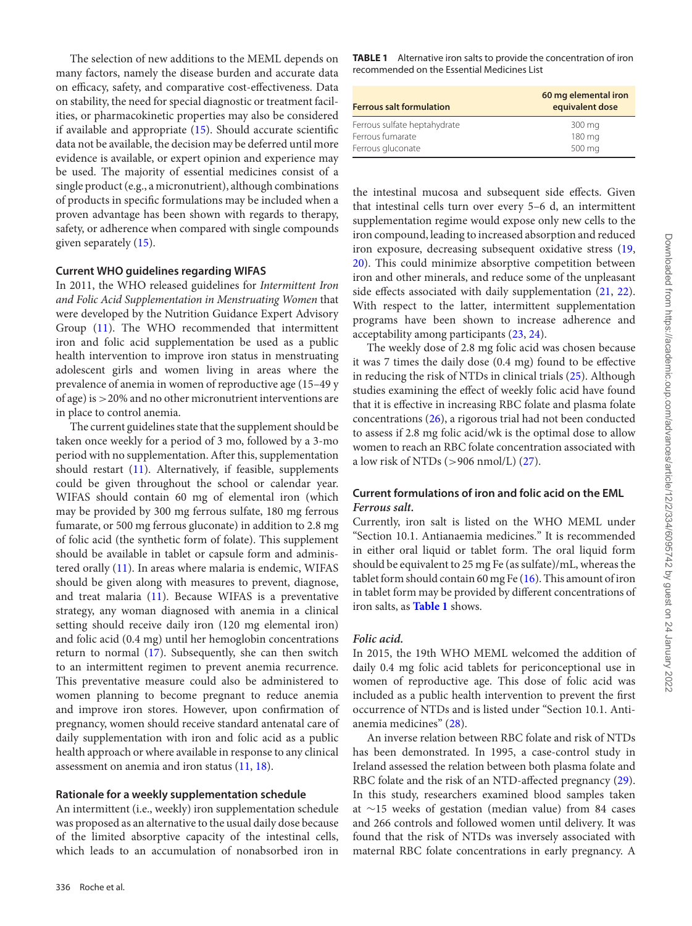The selection of new additions to the MEML depends on many factors, namely the disease burden and accurate data on efficacy, safety, and comparative cost-effectiveness. Data on stability, the need for special diagnostic or treatment facilities, or pharmacokinetic properties may also be considered if available and appropriate [\(15\)](#page-7-7). Should accurate scientific data not be available, the decision may be deferred until more evidence is available, or expert opinion and experience may be used. The majority of essential medicines consist of a single product (e.g., a micronutrient), although combinations of products in specific formulations may be included when a proven advantage has been shown with regards to therapy, safety, or adherence when compared with single compounds given separately [\(15\)](#page-7-7).

#### **Current WHO guidelines regarding WIFAS**

In 2011, the WHO released guidelines for *Intermittent Iron and Folic Acid Supplementation in Menstruating Women* that were developed by the Nutrition Guidance Expert Advisory Group [\(11\)](#page-7-3). The WHO recommended that intermittent iron and folic acid supplementation be used as a public health intervention to improve iron status in menstruating adolescent girls and women living in areas where the prevalence of anemia in women of reproductive age (15–49 y of age) is >20% and no other micronutrient interventions are in place to control anemia.

The current guidelines state that the supplement should be taken once weekly for a period of 3 mo, followed by a 3-mo period with no supplementation. After this, supplementation should restart [\(11\)](#page-7-3). Alternatively, if feasible, supplements could be given throughout the school or calendar year. WIFAS should contain 60 mg of elemental iron (which may be provided by 300 mg ferrous sulfate, 180 mg ferrous fumarate, or 500 mg ferrous gluconate) in addition to 2.8 mg of folic acid (the synthetic form of folate). This supplement should be available in tablet or capsule form and administered orally [\(11\)](#page-7-3). In areas where malaria is endemic, WIFAS should be given along with measures to prevent, diagnose, and treat malaria [\(11\)](#page-7-3). Because WIFAS is a preventative strategy, any woman diagnosed with anemia in a clinical setting should receive daily iron (120 mg elemental iron) and folic acid (0.4 mg) until her hemoglobin concentrations return to normal [\(17\)](#page-7-9). Subsequently, she can then switch to an intermittent regimen to prevent anemia recurrence. This preventative measure could also be administered to women planning to become pregnant to reduce anemia and improve iron stores. However, upon confirmation of pregnancy, women should receive standard antenatal care of daily supplementation with iron and folic acid as a public health approach or where available in response to any clinical assessment on anemia and iron status [\(11,](#page-7-3) [18\)](#page-7-10).

#### **Rationale for a weekly supplementation schedule**

An intermittent (i.e., weekly) iron supplementation schedule was proposed as an alternative to the usual daily dose because of the limited absorptive capacity of the intestinal cells, which leads to an accumulation of nonabsorbed iron in

<span id="page-2-0"></span>**TABLE 1** Alternative iron salts to provide the concentration of iron recommended on the Essential Medicines List

| <b>Ferrous salt formulation</b> | 60 mg elemental iron<br>equivalent dose |
|---------------------------------|-----------------------------------------|
| Ferrous sulfate heptahydrate    | 300 mg                                  |
| Ferrous fumarate                | 180 mg                                  |
| Ferrous gluconate               | 500 mg                                  |

the intestinal mucosa and subsequent side effects. Given that intestinal cells turn over every 5–6 d, an intermittent supplementation regime would expose only new cells to the iron compound, leading to increased absorption and reduced iron exposure, decreasing subsequent oxidative stress [\(19,](#page-7-11) [20\)](#page-7-12). This could minimize absorptive competition between iron and other minerals, and reduce some of the unpleasant side effects associated with daily supplementation  $(21, 22)$  $(21, 22)$  $(21, 22)$ . With respect to the latter, intermittent supplementation programs have been shown to increase adherence and acceptability among participants [\(23,](#page-7-15) [24\)](#page-7-16).

The weekly dose of 2.8 mg folic acid was chosen because it was 7 times the daily dose (0.4 mg) found to be effective in reducing the risk of NTDs in clinical trials [\(25\)](#page-7-17). Although studies examining the effect of weekly folic acid have found that it is effective in increasing RBC folate and plasma folate concentrations [\(26\)](#page-7-18), a rigorous trial had not been conducted to assess if 2.8 mg folic acid/wk is the optimal dose to allow women to reach an RBC folate concentration associated with a low risk of NTDs (>906 nmol/L) [\(27\)](#page-7-19).

# **Current formulations of iron and folic acid on the EML** *Ferrous salt.*

Currently, iron salt is listed on the WHO MEML under "Section 10.1. Antianaemia medicines." It is recommended in either oral liquid or tablet form. The oral liquid form should be equivalent to 25 mg Fe (as sulfate)/mL, whereas the tablet form should contain 60 mg Fe  $(16)$ . This amount of iron in tablet form may be provided by different concentrations of iron salts, as **[Table 1](#page-2-0)** shows.

#### *Folic acid.*

In 2015, the 19th WHO MEML welcomed the addition of daily 0.4 mg folic acid tablets for periconceptional use in women of reproductive age. This dose of folic acid was included as a public health intervention to prevent the first occurrence of NTDs and is listed under "Section 10.1. Antianemia medicines" [\(28\)](#page-7-20).

An inverse relation between RBC folate and risk of NTDs has been demonstrated. In 1995, a case-control study in Ireland assessed the relation between both plasma folate and RBC folate and the risk of an NTD-affected pregnancy [\(29\)](#page-7-21). In this study, researchers examined blood samples taken at ∼15 weeks of gestation (median value) from 84 cases and 266 controls and followed women until delivery. It was found that the risk of NTDs was inversely associated with maternal RBC folate concentrations in early pregnancy. A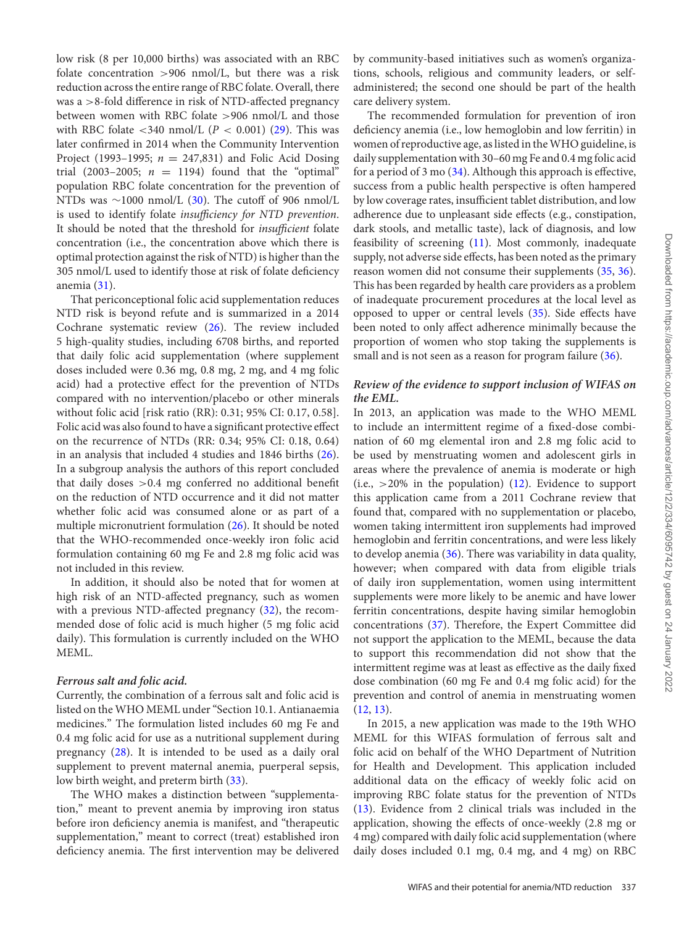low risk (8 per 10,000 births) was associated with an RBC folate concentration  $>906$  nmol/L, but there was a risk reduction across the entire range of RBC folate. Overall, there was a >8-fold difference in risk of NTD-affected pregnancy between women with RBC folate >906 nmol/L and those with RBC folate  $\langle 340 \text{ nmol/L}$  ( $P \langle 0.001 \rangle$  [\(29\)](#page-7-21). This was later confirmed in 2014 when the Community Intervention Project (1993–1995; *n* = 247,831) and Folic Acid Dosing trial (2003–2005;  $n = 1194$ ) found that the "optimal" population RBC folate concentration for the prevention of NTDs was  $\sim$ 1000 nmol/L [\(30\)](#page-7-22). The cutoff of 906 nmol/L is used to identify folate *insufficiency for NTD prevention*. It should be noted that the threshold for *insufficient* folate concentration (i.e., the concentration above which there is optimal protection against the risk of NTD) is higher than the 305 nmol/L used to identify those at risk of folate deficiency anemia [\(31\)](#page-7-23).

That periconceptional folic acid supplementation reduces NTD risk is beyond refute and is summarized in a 2014 Cochrane systematic review [\(26\)](#page-7-18). The review included 5 high-quality studies, including 6708 births, and reported that daily folic acid supplementation (where supplement doses included were 0.36 mg, 0.8 mg, 2 mg, and 4 mg folic acid) had a protective effect for the prevention of NTDs compared with no intervention/placebo or other minerals without folic acid [risk ratio (RR): 0.31; 95% CI: 0.17, 0.58]. Folic acid was also found to have a significant protective effect on the recurrence of NTDs (RR: 0.34; 95% CI: 0.18, 0.64) in an analysis that included 4 studies and 1846 births [\(26\)](#page-7-18). In a subgroup analysis the authors of this report concluded that daily doses  $>0.4$  mg conferred no additional benefit on the reduction of NTD occurrence and it did not matter whether folic acid was consumed alone or as part of a multiple micronutrient formulation [\(26\)](#page-7-18). It should be noted that the WHO-recommended once-weekly iron folic acid formulation containing 60 mg Fe and 2.8 mg folic acid was not included in this review.

In addition, it should also be noted that for women at high risk of an NTD-affected pregnancy, such as women with a previous NTD-affected pregnancy [\(32\)](#page-7-24), the recommended dose of folic acid is much higher (5 mg folic acid daily). This formulation is currently included on the WHO MEML.

#### *Ferrous salt and folic acid.*

Currently, the combination of a ferrous salt and folic acid is listed on the WHO MEML under "Section 10.1. Antianaemia medicines." The formulation listed includes 60 mg Fe and 0.4 mg folic acid for use as a nutritional supplement during pregnancy [\(28\)](#page-7-20). It is intended to be used as a daily oral supplement to prevent maternal anemia, puerperal sepsis, low birth weight, and preterm birth [\(33\)](#page-7-25).

The WHO makes a distinction between "supplementation," meant to prevent anemia by improving iron status before iron deficiency anemia is manifest, and "therapeutic supplementation," meant to correct (treat) established iron deficiency anemia. The first intervention may be delivered by community-based initiatives such as women's organizations, schools, religious and community leaders, or selfadministered; the second one should be part of the health care delivery system.

The recommended formulation for prevention of iron deficiency anemia (i.e., low hemoglobin and low ferritin) in women of reproductive age, as listed in theWHO guideline, is daily supplementation with 30–60 mg Fe and 0.4 mg folic acid for a period of 3 mo  $(34)$ . Although this approach is effective, success from a public health perspective is often hampered by low coverage rates, insufficient tablet distribution, and low adherence due to unpleasant side effects (e.g., constipation, dark stools, and metallic taste), lack of diagnosis, and low feasibility of screening [\(11\)](#page-7-3). Most commonly, inadequate supply, not adverse side effects, has been noted as the primary reason women did not consume their supplements [\(35,](#page-7-27) [36\)](#page-7-28). This has been regarded by health care providers as a problem of inadequate procurement procedures at the local level as opposed to upper or central levels [\(35\)](#page-7-27). Side effects have been noted to only affect adherence minimally because the proportion of women who stop taking the supplements is small and is not seen as a reason for program failure [\(36\)](#page-7-28).

# *Review of the evidence to support inclusion of WIFAS on the EML.*

In 2013, an application was made to the WHO MEML to include an intermittent regime of a fixed-dose combination of 60 mg elemental iron and 2.8 mg folic acid to be used by menstruating women and adolescent girls in areas where the prevalence of anemia is moderate or high (i.e.,  $>20\%$  in the population) [\(12\)](#page-7-4). Evidence to support this application came from a 2011 Cochrane review that found that, compared with no supplementation or placebo, women taking intermittent iron supplements had improved hemoglobin and ferritin concentrations, and were less likely to develop anemia [\(36\)](#page-7-28). There was variability in data quality, however; when compared with data from eligible trials of daily iron supplementation, women using intermittent supplements were more likely to be anemic and have lower ferritin concentrations, despite having similar hemoglobin concentrations [\(37\)](#page-7-29). Therefore, the Expert Committee did not support the application to the MEML, because the data to support this recommendation did not show that the intermittent regime was at least as effective as the daily fixed dose combination (60 mg Fe and 0.4 mg folic acid) for the prevention and control of anemia in menstruating women  $(12, 13)$  $(12, 13)$  $(12, 13)$ .

In 2015, a new application was made to the 19th WHO MEML for this WIFAS formulation of ferrous salt and folic acid on behalf of the WHO Department of Nutrition for Health and Development. This application included additional data on the efficacy of weekly folic acid on improving RBC folate status for the prevention of NTDs [\(13\)](#page-7-5). Evidence from 2 clinical trials was included in the application, showing the effects of once-weekly (2.8 mg or 4 mg) compared with daily folic acid supplementation (where daily doses included 0.1 mg, 0.4 mg, and 4 mg) on RBC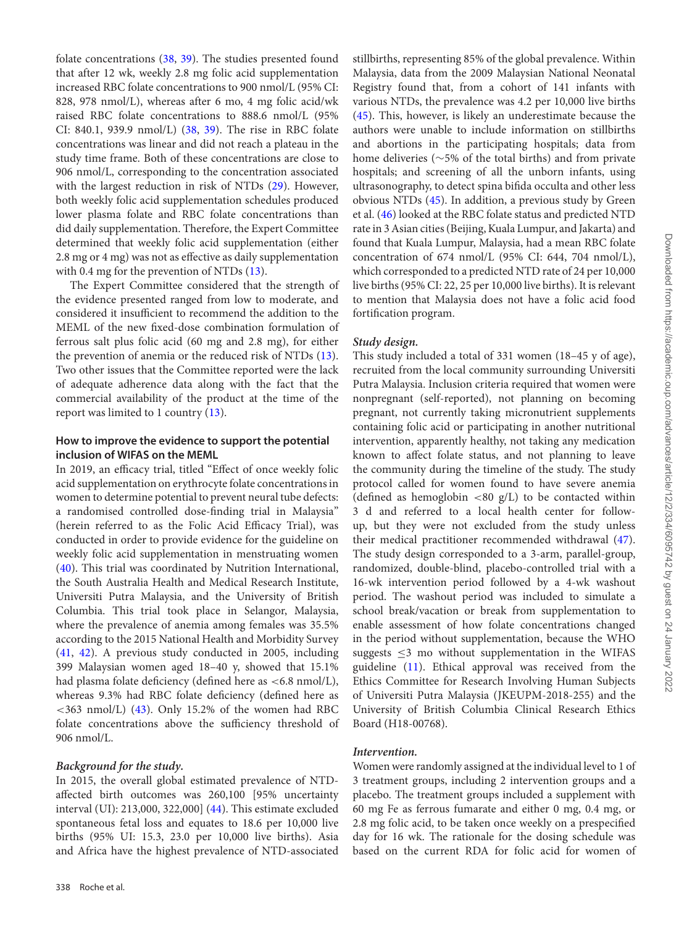folate concentrations [\(38,](#page-7-30) [39\)](#page-7-31). The studies presented found that after 12 wk, weekly 2.8 mg folic acid supplementation increased RBC folate concentrations to 900 nmol/L (95% CI: 828, 978 nmol/L), whereas after 6 mo, 4 mg folic acid/wk raised RBC folate concentrations to 888.6 nmol/L (95% CI: 840.1, 939.9 nmol/L) [\(38,](#page-7-30) [39\)](#page-7-31). The rise in RBC folate concentrations was linear and did not reach a plateau in the study time frame. Both of these concentrations are close to 906 nmol/L, corresponding to the concentration associated with the largest reduction in risk of NTDs [\(29\)](#page-7-21). However, both weekly folic acid supplementation schedules produced lower plasma folate and RBC folate concentrations than did daily supplementation. Therefore, the Expert Committee determined that weekly folic acid supplementation (either 2.8 mg or 4 mg) was not as effective as daily supplementation with 0.4 mg for the prevention of NTDs  $(13)$ .

The Expert Committee considered that the strength of the evidence presented ranged from low to moderate, and considered it insufficient to recommend the addition to the MEML of the new fixed-dose combination formulation of ferrous salt plus folic acid (60 mg and 2.8 mg), for either the prevention of anemia or the reduced risk of NTDs [\(13\)](#page-7-5). Two other issues that the Committee reported were the lack of adequate adherence data along with the fact that the commercial availability of the product at the time of the report was limited to 1 country [\(13\)](#page-7-5).

### **How to improve the evidence to support the potential inclusion of WIFAS on the MEML**

In 2019, an efficacy trial, titled "Effect of once weekly folic acid supplementation on erythrocyte folate concentrations in women to determine potential to prevent neural tube defects: a randomised controlled dose-finding trial in Malaysia" (herein referred to as the Folic Acid Efficacy Trial), was conducted in order to provide evidence for the guideline on weekly folic acid supplementation in menstruating women [\(40\)](#page-7-32). This trial was coordinated by Nutrition International, the South Australia Health and Medical Research Institute, Universiti Putra Malaysia, and the University of British Columbia. This trial took place in Selangor, Malaysia, where the prevalence of anemia among females was 35.5% according to the 2015 National Health and Morbidity Survey [\(41,](#page-7-33) [42\)](#page-8-0). A previous study conducted in 2005, including 399 Malaysian women aged 18–40 y, showed that 15.1% had plasma folate deficiency (defined here as <6.8 nmol/L), whereas 9.3% had RBC folate deficiency (defined here as  $\langle$  = 363 nmol/L) [\(43\)](#page-8-1). Only 15.2% of the women had RBC folate concentrations above the sufficiency threshold of 906 nmol/L.

#### *Background for the study.*

In 2015, the overall global estimated prevalence of NTDaffected birth outcomes was 260,100 [95% uncertainty interval (UI): 213,000, 322,000] [\(44\)](#page-8-2). This estimate excluded spontaneous fetal loss and equates to 18.6 per 10,000 live births (95% UI: 15.3, 23.0 per 10,000 live births). Asia and Africa have the highest prevalence of NTD-associated stillbirths, representing 85% of the global prevalence. Within Malaysia, data from the 2009 Malaysian National Neonatal Registry found that, from a cohort of 141 infants with various NTDs, the prevalence was 4.2 per 10,000 live births [\(45\)](#page-8-3). This, however, is likely an underestimate because the authors were unable to include information on stillbirths and abortions in the participating hospitals; data from home deliveries (∼5% of the total births) and from private hospitals; and screening of all the unborn infants, using ultrasonography, to detect spina bifida occulta and other less obvious NTDs [\(45\)](#page-8-3). In addition, a previous study by Green et al. [\(46\)](#page-8-4) looked at the RBC folate status and predicted NTD rate in 3 Asian cities (Beijing, Kuala Lumpur, and Jakarta) and found that Kuala Lumpur, Malaysia, had a mean RBC folate concentration of 674 nmol/L (95% CI: 644, 704 nmol/L), which corresponded to a predicted NTD rate of 24 per 10,000 live births (95% CI: 22, 25 per 10,000 live births). It is relevant to mention that Malaysia does not have a folic acid food fortification program.

#### *Study design.*

This study included a total of 331 women (18–45 y of age), recruited from the local community surrounding Universiti Putra Malaysia. Inclusion criteria required that women were nonpregnant (self-reported), not planning on becoming pregnant, not currently taking micronutrient supplements containing folic acid or participating in another nutritional intervention, apparently healthy, not taking any medication known to affect folate status, and not planning to leave the community during the timeline of the study. The study protocol called for women found to have severe anemia (defined as hemoglobin  $<80$  g/L) to be contacted within 3 d and referred to a local health center for followup, but they were not excluded from the study unless their medical practitioner recommended withdrawal [\(47\)](#page-8-5). The study design corresponded to a 3-arm, parallel-group, randomized, double-blind, placebo-controlled trial with a 16-wk intervention period followed by a 4-wk washout period. The washout period was included to simulate a school break/vacation or break from supplementation to enable assessment of how folate concentrations changed in the period without supplementation, because the WHO suggests  $\leq$ 3 mo without supplementation in the WIFAS guideline [\(11\)](#page-7-3). Ethical approval was received from the Ethics Committee for Research Involving Human Subjects of Universiti Putra Malaysia (JKEUPM-2018-255) and the University of British Columbia Clinical Research Ethics Board (H18-00768).

#### *Intervention.*

Women were randomly assigned at the individual level to 1 of 3 treatment groups, including 2 intervention groups and a placebo. The treatment groups included a supplement with 60 mg Fe as ferrous fumarate and either 0 mg, 0.4 mg, or 2.8 mg folic acid, to be taken once weekly on a prespecified day for 16 wk. The rationale for the dosing schedule was based on the current RDA for folic acid for women of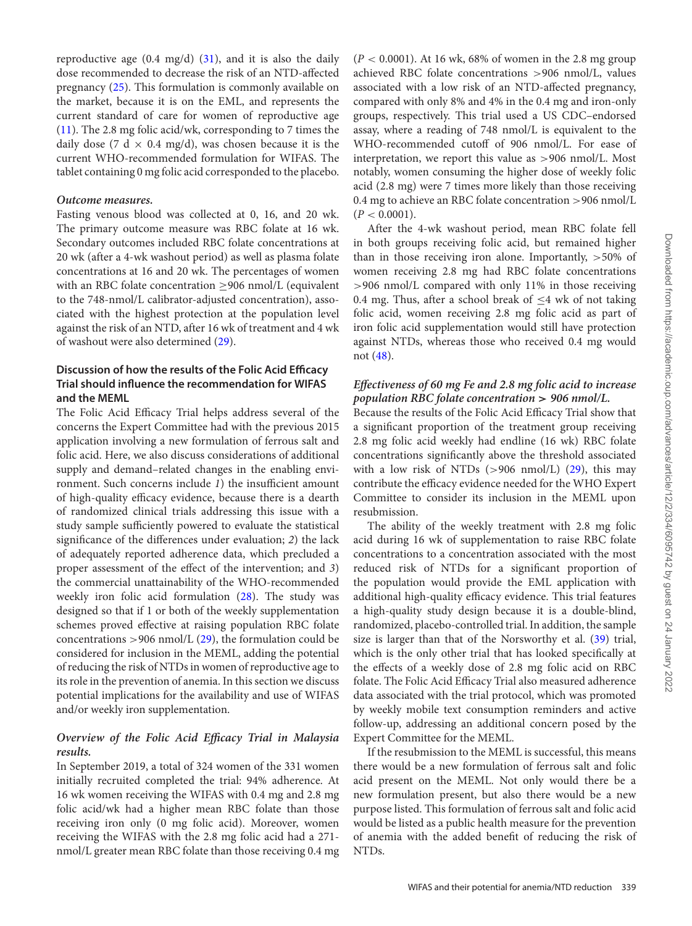reproductive age  $(0.4 \text{ mg/d})$   $(31)$ , and it is also the daily dose recommended to decrease the risk of an NTD-affected pregnancy [\(25\)](#page-7-17). This formulation is commonly available on the market, because it is on the EML, and represents the current standard of care for women of reproductive age [\(11\)](#page-7-3). The 2.8 mg folic acid/wk, corresponding to 7 times the daily dose (7 d  $\times$  0.4 mg/d), was chosen because it is the current WHO-recommended formulation for WIFAS. The tablet containing 0 mg folic acid corresponded to the placebo.

#### *Outcome measures.*

Fasting venous blood was collected at 0, 16, and 20 wk. The primary outcome measure was RBC folate at 16 wk. Secondary outcomes included RBC folate concentrations at 20 wk (after a 4-wk washout period) as well as plasma folate concentrations at 16 and 20 wk. The percentages of women with an RBC folate concentration >906 nmol/L (equivalent to the 748-nmol/L calibrator-adjusted concentration), associated with the highest protection at the population level against the risk of an NTD, after 16 wk of treatment and 4 wk of washout were also determined [\(29\)](#page-7-21).

# **Discussion of how the results of the Folic Acid Efficacy Trial should influence the recommendation for WIFAS and the MEML**

The Folic Acid Efficacy Trial helps address several of the concerns the Expert Committee had with the previous 2015 application involving a new formulation of ferrous salt and folic acid. Here, we also discuss considerations of additional supply and demand–related changes in the enabling environment. Such concerns include *1*) the insufficient amount of high-quality efficacy evidence, because there is a dearth of randomized clinical trials addressing this issue with a study sample sufficiently powered to evaluate the statistical significance of the differences under evaluation; *2*) the lack of adequately reported adherence data, which precluded a proper assessment of the effect of the intervention; and *3*) the commercial unattainability of the WHO-recommended weekly iron folic acid formulation [\(28\)](#page-7-20). The study was designed so that if 1 or both of the weekly supplementation schemes proved effective at raising population RBC folate concentrations  $>$ 906 nmol/L [\(29\)](#page-7-21), the formulation could be considered for inclusion in the MEML, adding the potential of reducing the risk of NTDs in women of reproductive age to its role in the prevention of anemia. In this section we discuss potential implications for the availability and use of WIFAS and/or weekly iron supplementation.

# *Overview of the Folic Acid Efficacy Trial in Malaysia results.*

In September 2019, a total of 324 women of the 331 women initially recruited completed the trial: 94% adherence. At 16 wk women receiving the WIFAS with 0.4 mg and 2.8 mg folic acid/wk had a higher mean RBC folate than those receiving iron only (0 mg folic acid). Moreover, women receiving the WIFAS with the 2.8 mg folic acid had a 271 nmol/L greater mean RBC folate than those receiving 0.4 mg (*P* < 0.0001). At 16 wk, 68% of women in the 2.8 mg group achieved RBC folate concentrations >906 nmol/L, values associated with a low risk of an NTD-affected pregnancy, compared with only 8% and 4% in the 0.4 mg and iron-only groups, respectively. This trial used a US CDC–endorsed assay, where a reading of 748 nmol/L is equivalent to the WHO-recommended cutoff of 906 nmol/L. For ease of interpretation, we report this value as >906 nmol/L. Most notably, women consuming the higher dose of weekly folic acid (2.8 mg) were 7 times more likely than those receiving 0.4 mg to achieve an RBC folate concentration >906 nmol/L  $(P < 0.0001)$ .

After the 4-wk washout period, mean RBC folate fell in both groups receiving folic acid, but remained higher than in those receiving iron alone. Importantly,  $>50\%$  of women receiving 2.8 mg had RBC folate concentrations >906 nmol/L compared with only 11% in those receiving 0.4 mg. Thus, after a school break of  $\leq$ 4 wk of not taking folic acid, women receiving 2.8 mg folic acid as part of iron folic acid supplementation would still have protection against NTDs, whereas those who received 0.4 mg would not [\(48\)](#page-8-6).

# *Effectiveness of 60 mg Fe and 2.8 mg folic acid to increase population RBC folate concentration > 906 nmol/L.*

Because the results of the Folic Acid Efficacy Trial show that a significant proportion of the treatment group receiving 2.8 mg folic acid weekly had endline (16 wk) RBC folate concentrations significantly above the threshold associated with a low risk of NTDs  $(>906 \text{ nmol/L})$   $(29)$ , this may contribute the efficacy evidence needed for the WHO Expert Committee to consider its inclusion in the MEML upon resubmission.

The ability of the weekly treatment with 2.8 mg folic acid during 16 wk of supplementation to raise RBC folate concentrations to a concentration associated with the most reduced risk of NTDs for a significant proportion of the population would provide the EML application with additional high-quality efficacy evidence. This trial features a high-quality study design because it is a double-blind, randomized, placebo-controlled trial. In addition, the sample size is larger than that of the Norsworthy et al. [\(39\)](#page-7-31) trial, which is the only other trial that has looked specifically at the effects of a weekly dose of 2.8 mg folic acid on RBC folate. The Folic Acid Efficacy Trial also measured adherence data associated with the trial protocol, which was promoted by weekly mobile text consumption reminders and active follow-up, addressing an additional concern posed by the Expert Committee for the MEML.

If the resubmission to the MEML is successful, this means there would be a new formulation of ferrous salt and folic acid present on the MEML. Not only would there be a new formulation present, but also there would be a new purpose listed. This formulation of ferrous salt and folic acid would be listed as a public health measure for the prevention of anemia with the added benefit of reducing the risk of NTDs.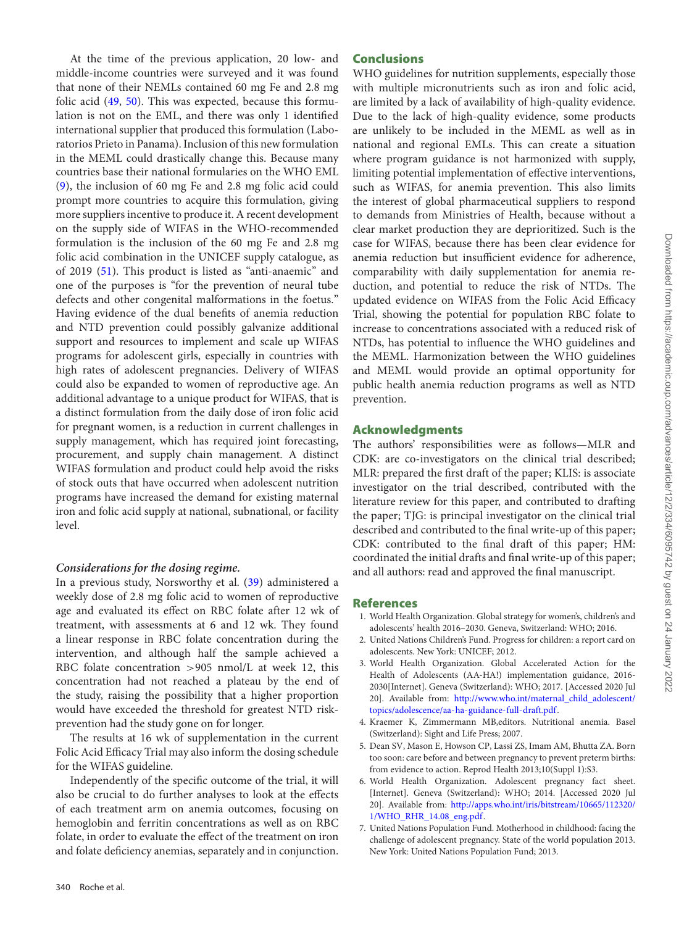At the time of the previous application, 20 low- and middle-income countries were surveyed and it was found that none of their NEMLs contained 60 mg Fe and 2.8 mg folic acid [\(49,](#page-8-7) [50\)](#page-8-8). This was expected, because this formulation is not on the EML, and there was only 1 identified international supplier that produced this formulation (Laboratorios Prieto in Panama). Inclusion of this new formulation in the MEML could drastically change this. Because many countries base their national formularies on the WHO EML [\(9\)](#page-7-1), the inclusion of 60 mg Fe and 2.8 mg folic acid could prompt more countries to acquire this formulation, giving more suppliers incentive to produce it. A recent development on the supply side of WIFAS in the WHO-recommended formulation is the inclusion of the 60 mg Fe and 2.8 mg folic acid combination in the UNICEF supply catalogue, as of 2019 [\(51\)](#page-8-9). This product is listed as "anti-anaemic" and one of the purposes is "for the prevention of neural tube defects and other congenital malformations in the foetus." Having evidence of the dual benefits of anemia reduction and NTD prevention could possibly galvanize additional support and resources to implement and scale up WIFAS programs for adolescent girls, especially in countries with high rates of adolescent pregnancies. Delivery of WIFAS could also be expanded to women of reproductive age. An additional advantage to a unique product for WIFAS, that is a distinct formulation from the daily dose of iron folic acid for pregnant women, is a reduction in current challenges in supply management, which has required joint forecasting, procurement, and supply chain management. A distinct WIFAS formulation and product could help avoid the risks of stock outs that have occurred when adolescent nutrition programs have increased the demand for existing maternal iron and folic acid supply at national, subnational, or facility level.

### *Considerations for the dosing regime.*

In a previous study, Norsworthy et al. [\(39\)](#page-7-31) administered a weekly dose of 2.8 mg folic acid to women of reproductive age and evaluated its effect on RBC folate after 12 wk of treatment, with assessments at 6 and 12 wk. They found a linear response in RBC folate concentration during the intervention, and although half the sample achieved a RBC folate concentration >905 nmol/L at week 12, this concentration had not reached a plateau by the end of the study, raising the possibility that a higher proportion would have exceeded the threshold for greatest NTD riskprevention had the study gone on for longer.

The results at 16 wk of supplementation in the current Folic Acid Efficacy Trial may also inform the dosing schedule for the WIFAS guideline.

Independently of the specific outcome of the trial, it will also be crucial to do further analyses to look at the effects of each treatment arm on anemia outcomes, focusing on hemoglobin and ferritin concentrations as well as on RBC folate, in order to evaluate the effect of the treatment on iron and folate deficiency anemias, separately and in conjunction.

# **Conclusions**

WHO guidelines for nutrition supplements, especially those with multiple micronutrients such as iron and folic acid, are limited by a lack of availability of high-quality evidence. Due to the lack of high-quality evidence, some products are unlikely to be included in the MEML as well as in national and regional EMLs. This can create a situation where program guidance is not harmonized with supply, limiting potential implementation of effective interventions, such as WIFAS, for anemia prevention. This also limits the interest of global pharmaceutical suppliers to respond to demands from Ministries of Health, because without a clear market production they are deprioritized. Such is the case for WIFAS, because there has been clear evidence for anemia reduction but insufficient evidence for adherence, comparability with daily supplementation for anemia reduction, and potential to reduce the risk of NTDs. The updated evidence on WIFAS from the Folic Acid Efficacy Trial, showing the potential for population RBC folate to increase to concentrations associated with a reduced risk of NTDs, has potential to influence the WHO guidelines and the MEML. Harmonization between the WHO guidelines and MEML would provide an optimal opportunity for public health anemia reduction programs as well as NTD prevention.

### **Acknowledgments**

The authors' responsibilities were as follows—MLR and CDK: are co-investigators on the clinical trial described; MLR: prepared the first draft of the paper; KLIS: is associate investigator on the trial described, contributed with the literature review for this paper, and contributed to drafting the paper; TJG: is principal investigator on the clinical trial described and contributed to the final write-up of this paper; CDK: contributed to the final draft of this paper; HM: coordinated the initial drafts and final write-up of this paper; and all authors: read and approved the final manuscript.

### **References**

- <span id="page-6-0"></span>1. World Health Organization. Global strategy for women's, children's and adolescents' health 2016–2030. Geneva, Switzerland: WHO; 2016.
- <span id="page-6-1"></span>2. United Nations Children's Fund. Progress for children: a report card on adolescents. New York: UNICEF; 2012.
- <span id="page-6-2"></span>3. World Health Organization. Global Accelerated Action for the Health of Adolescents (AA-HA!) implementation guidance, 2016- 2030[Internet]. Geneva (Switzerland): WHO; 2017. [Accessed 2020 Jul 20]. Available from: http://www.who.int/maternal\_child\_adolescent/ [topics/adolescence/aa-ha-guidance-full-draft.pdf.](http://www.who.int/maternal_child_adolescent/topics/adolescence/aa-ha-guidance-full-draft.pdf)
- <span id="page-6-3"></span>4. Kraemer K, Zimmermann MB,editors. Nutritional anemia. Basel (Switzerland): Sight and Life Press; 2007.
- <span id="page-6-4"></span>5. Dean SV, Mason E, Howson CP, Lassi ZS, Imam AM, Bhutta ZA. Born too soon: care before and between pregnancy to prevent preterm births: from evidence to action. Reprod Health 2013;10(Suppl 1):S3.
- <span id="page-6-5"></span>6. World Health Organization. Adolescent pregnancy fact sheet. [Internet]. Geneva (Switzerland): WHO; 2014. [Accessed 2020 Jul 20]. Available from: [http://apps.who.int/iris/bitstream/10665/112320/](http://apps.who.int/iris/bitstream/10665/112320/1/WHO_RHR_14.08_eng.pdf) 1/WHO\_RHR\_14.08\_eng.pdf.
- <span id="page-6-6"></span>7. United Nations Population Fund. Motherhood in childhood: facing the challenge of adolescent pregnancy. State of the world population 2013. New York: United Nations Population Fund; 2013.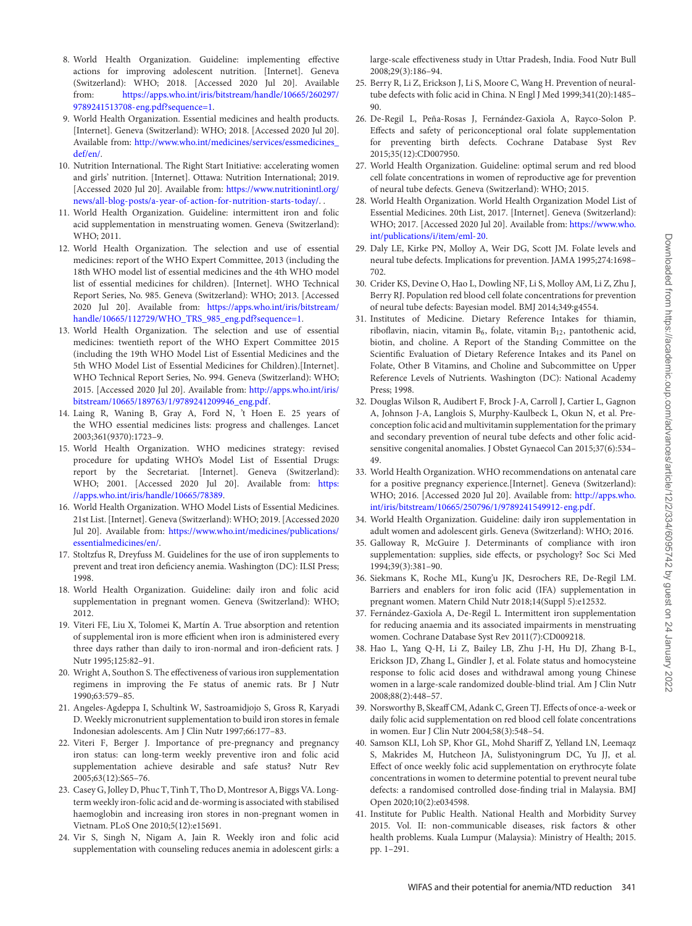- <span id="page-7-0"></span>8. World Health Organization. Guideline: implementing effective actions for improving adolescent nutrition. [Internet]. Geneva (Switzerland): WHO; 2018. [Accessed 2020 Jul 20]. Available from: [https://apps.who.int/iris/bitstream/handle/10665/260297/](https://apps.who.int/iris/bitstream/handle/10665/260297/9789241513708-eng.pdf?sequence=1) 9789241513708-eng.pdf?sequence=1.
- <span id="page-7-1"></span>9. World Health Organization. Essential medicines and health products. [Internet]. Geneva (Switzerland): WHO; 2018. [Accessed 2020 Jul 20]. Available from: [http://www.who.int/medicines/services/essmedicines\\_](http://www.who.int/medicines/services/essmedicines_def/en/) def/en/.
- <span id="page-7-2"></span>10. Nutrition International. The Right Start Initiative: accelerating women and girls' nutrition. [Internet]. Ottawa: Nutrition International; 2019. [Accessed 2020 Jul 20]. Available from: https://www.nutritionintl.org/ [news/all-blog-posts/a-year-of-action-for-nutrition-starts-today/. .](https://www.nutritionintl.org/news/all-blog-posts/a-year-of-action-for-nutrition-starts-today/)
- <span id="page-7-3"></span>11. World Health Organization. Guideline: intermittent iron and folic acid supplementation in menstruating women. Geneva (Switzerland): WHO; 2011.
- <span id="page-7-4"></span>12. World Health Organization. The selection and use of essential medicines: report of the WHO Expert Committee, 2013 (including the 18th WHO model list of essential medicines and the 4th WHO model list of essential medicines for children). [Internet]. WHO Technical Report Series, No. 985. Geneva (Switzerland): WHO; 2013. [Accessed 2020 Jul 20]. Available from: https://apps.who.int/iris/bitstream/ [handle/10665/112729/WHO\\_TRS\\_985\\_eng.pdf?sequence=1.](https://apps.who.int/iris/bitstream/handle/10665/112729/WHO_TRS_985_eng.pdf?sequence=1)
- <span id="page-7-5"></span>13. World Health Organization. The selection and use of essential medicines: twentieth report of the WHO Expert Committee 2015 (including the 19th WHO Model List of Essential Medicines and the 5th WHO Model List of Essential Medicines for Children).[Internet]. WHO Technical Report Series, No. 994. Geneva (Switzerland): WHO; 2015. [Accessed 2020 Jul 20]. Available from: http://apps.who.int/iris/ [bitstream/10665/189763/1/9789241209946\\_eng.pdf.](http://apps.who.int/iris/bitstream/10665/189763/1/9789241209946_eng.pdf)
- <span id="page-7-6"></span>14. Laing R, Waning B, Gray A, Ford N, 't Hoen E. 25 years of the WHO essential medicines lists: progress and challenges. Lancet 2003;361(9370):1723–9.
- <span id="page-7-7"></span>15. World Health Organization. WHO medicines strategy: revised procedure for updating WHO's Model List of Essential Drugs: report by the Secretariat. [Internet]. Geneva (Switzerland): [WHO; 2001. \[Accessed 2020 Jul 20\]. Available from:](https://apps.who.int/iris/handle/10665/78389) https: //apps.who.int/iris/handle/10665/78389.
- <span id="page-7-8"></span>16. World Health Organization. WHO Model Lists of Essential Medicines. 21st List. [Internet]. Geneva (Switzerland): WHO; 2019. [Accessed 2020 Jul 20]. Available from: [https://www.who.int/medicines/publications/](https://www.who.int/medicines/publications/essentialmedicines/en/) essentialmedicines/en/.
- <span id="page-7-9"></span>17. Stoltzfus R, Dreyfuss M. Guidelines for the use of iron supplements to prevent and treat iron deficiency anemia. Washington (DC): ILSI Press; 1998.
- <span id="page-7-10"></span>18. World Health Organization. Guideline: daily iron and folic acid supplementation in pregnant women. Geneva (Switzerland): WHO; 2012.
- <span id="page-7-11"></span>19. Viteri FE, Liu X, Tolomei K, Martín A. True absorption and retention of supplemental iron is more efficient when iron is administered every three days rather than daily to iron-normal and iron-deficient rats. J Nutr 1995;125:82–91.
- <span id="page-7-12"></span>20. Wright A, Southon S. The effectiveness of various iron supplementation regimens in improving the Fe status of anemic rats. Br J Nutr 1990;63:579–85.
- <span id="page-7-13"></span>21. Angeles-Agdeppa I, Schultink W, Sastroamidjojo S, Gross R, Karyadi D. Weekly micronutrient supplementation to build iron stores in female Indonesian adolescents. Am J Clin Nutr 1997;66:177–83.
- <span id="page-7-14"></span>22. Viteri F, Berger J. Importance of pre-pregnancy and pregnancy iron status: can long-term weekly preventive iron and folic acid supplementation achieve desirable and safe status? Nutr Rev 2005;63(12):S65–76.
- <span id="page-7-15"></span>23. Casey G, Jolley D, Phuc T, Tinh T, Tho D, Montresor A, Biggs VA. Longterm weekly iron-folic acid and de-worming is associated with stabilised haemoglobin and increasing iron stores in non-pregnant women in Vietnam. PLoS One 2010;5(12):e15691.
- <span id="page-7-16"></span>24. Vir S, Singh N, Nigam A, Jain R. Weekly iron and folic acid supplementation with counseling reduces anemia in adolescent girls: a

large-scale effectiveness study in Uttar Pradesh, India. Food Nutr Bull 2008;29(3):186–94.

- <span id="page-7-17"></span>25. Berry R, Li Z, Erickson J, Li S, Moore C, Wang H. Prevention of neuraltube defects with folic acid in China. N Engl J Med 1999;341(20):1485– 90.
- <span id="page-7-18"></span>26. De-Regil L, Peña-Rosas J, Fernández-Gaxiola A, Rayco-Solon P. Effects and safety of periconceptional oral folate supplementation for preventing birth defects. Cochrane Database Syst Rev 2015;35(12):CD007950.
- <span id="page-7-19"></span>27. World Health Organization. Guideline: optimal serum and red blood cell folate concentrations in women of reproductive age for prevention of neural tube defects. Geneva (Switzerland): WHO; 2015.
- <span id="page-7-20"></span>28. World Health Organization. World Health Organization Model List of Essential Medicines. 20th List, 2017. [Internet]. Geneva (Switzerland): [WHO; 2017. \[Accessed 2020 Jul 20\]. Available from:](https://www.who.int/publications/i/item/eml-20) https://www.who. int/publications/i/item/eml-20.
- <span id="page-7-21"></span>29. Daly LE, Kirke PN, Molloy A, Weir DG, Scott JM. Folate levels and neural tube defects. Implications for prevention. JAMA 1995;274:1698– 702.
- <span id="page-7-22"></span>30. Crider KS, Devine O, Hao L, Dowling NF, Li S, Molloy AM, Li Z, Zhu J, Berry RJ. Population red blood cell folate concentrations for prevention of neural tube defects: Bayesian model. BMJ 2014;349:g4554.
- <span id="page-7-23"></span>31. Institutes of Medicine. Dietary Reference Intakes for thiamin, riboflavin, niacin, vitamin  $B_6$ , folate, vitamin  $B_{12}$ , pantothenic acid, biotin, and choline. A Report of the Standing Committee on the Scientific Evaluation of Dietary Reference Intakes and its Panel on Folate, Other B Vitamins, and Choline and Subcommittee on Upper Reference Levels of Nutrients. Washington (DC): National Academy Press; 1998.
- <span id="page-7-24"></span>32. Douglas Wilson R, Audibert F, Brock J-A, Carroll J, Cartier L, Gagnon A, Johnson J-A, Langlois S, Murphy-Kaulbeck L, Okun N, et al. Preconception folic acid and multivitamin supplementation for the primary and secondary prevention of neural tube defects and other folic acidsensitive congenital anomalies. J Obstet Gynaecol Can 2015;37(6):534– 49.
- <span id="page-7-25"></span>33. World Health Organization. WHO recommendations on antenatal care for a positive pregnancy experience.[Internet]. Geneva (Switzerland): WHO; 2016. [Accessed 2020 Jul 20]. Available from: http://apps.who. [int/iris/bitstream/10665/250796/1/9789241549912-eng.pdf.](http://apps.who.int/iris/bitstream/10665/250796/1/9789241549912-eng.pdf)
- <span id="page-7-26"></span>34. World Health Organization. Guideline: daily iron supplementation in adult women and adolescent girls. Geneva (Switzerland): WHO; 2016.
- <span id="page-7-27"></span>35. Galloway R, McGuire J. Determinants of compliance with iron supplementation: supplies, side effects, or psychology? Soc Sci Med 1994;39(3):381–90.
- <span id="page-7-28"></span>36. Siekmans K, Roche ML, Kung'u JK, Desrochers RE, De-Regil LM. Barriers and enablers for iron folic acid (IFA) supplementation in pregnant women. Matern Child Nutr 2018;14(Suppl 5):e12532.
- <span id="page-7-29"></span>37. Fernández-Gaxiola A, De-Regil L. Intermittent iron supplementation for reducing anaemia and its associated impairments in menstruating women. Cochrane Database Syst Rev 2011(7):CD009218.
- <span id="page-7-30"></span>38. Hao L, Yang Q-H, Li Z, Bailey LB, Zhu J-H, Hu DJ, Zhang B-L, Erickson JD, Zhang L, Gindler J, et al. Folate status and homocysteine response to folic acid doses and withdrawal among young Chinese women in a large-scale randomized double-blind trial. Am J Clin Nutr 2008;88(2):448–57.
- <span id="page-7-31"></span>39. Norsworthy B, Skeaff CM, Adank C, Green TJ. Effects of once-a-week or daily folic acid supplementation on red blood cell folate concentrations in women. Eur J Clin Nutr 2004;58(3):548–54.
- <span id="page-7-32"></span>40. Samson KLI, Loh SP, Khor GL, Mohd Shariff Z, Yelland LN, Leemaqz S, Makrides M, Hutcheon JA, Sulistyoningrum DC, Yu JJ, et al. Effect of once weekly folic acid supplementation on erythrocyte folate concentrations in women to determine potential to prevent neural tube defects: a randomised controlled dose-finding trial in Malaysia. BMJ Open 2020;10(2):e034598.
- <span id="page-7-33"></span>41. Institute for Public Health. National Health and Morbidity Survey 2015. Vol. II: non-communicable diseases, risk factors & other health problems. Kuala Lumpur (Malaysia): Ministry of Health; 2015. pp. 1–291.